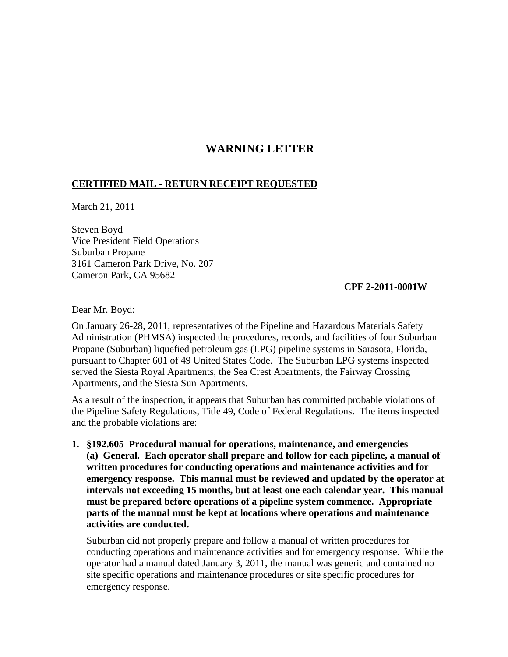# **WARNING LETTER**

### **CERTIFIED MAIL - RETURN RECEIPT REQUESTED**

March 21, 2011

Steven Boyd Vice President Field Operations Suburban Propane 3161 Cameron Park Drive, No. 207 Cameron Park, CA 95682

#### **CPF 2-2011-0001W**

Dear Mr. Boyd:

On January 26-28, 2011, representatives of the Pipeline and Hazardous Materials Safety Administration (PHMSA) inspected the procedures, records, and facilities of four Suburban Propane (Suburban) liquefied petroleum gas (LPG) pipeline systems in Sarasota, Florida, pursuant to Chapter 601 of 49 United States Code. The Suburban LPG systems inspected served the Siesta Royal Apartments, the Sea Crest Apartments, the Fairway Crossing Apartments, and the Siesta Sun Apartments.

As a result of the inspection, it appears that Suburban has committed probable violations of the Pipeline Safety Regulations, Title 49, Code of Federal Regulations. The items inspected and the probable violations are:

**1. §192.605 Procedural manual for operations, maintenance, and emergencies (a) General. Each operator shall prepare and follow for each pipeline, a manual of written procedures for conducting operations and maintenance activities and for emergency response. This manual must be reviewed and updated by the operator at intervals not exceeding 15 months, but at least one each calendar year. This manual must be prepared before operations of a pipeline system commence. Appropriate parts of the manual must be kept at locations where operations and maintenance activities are conducted.**

Suburban did not properly prepare and follow a manual of written procedures for conducting operations and maintenance activities and for emergency response. While the operator had a manual dated January 3, 2011, the manual was generic and contained no site specific operations and maintenance procedures or site specific procedures for emergency response.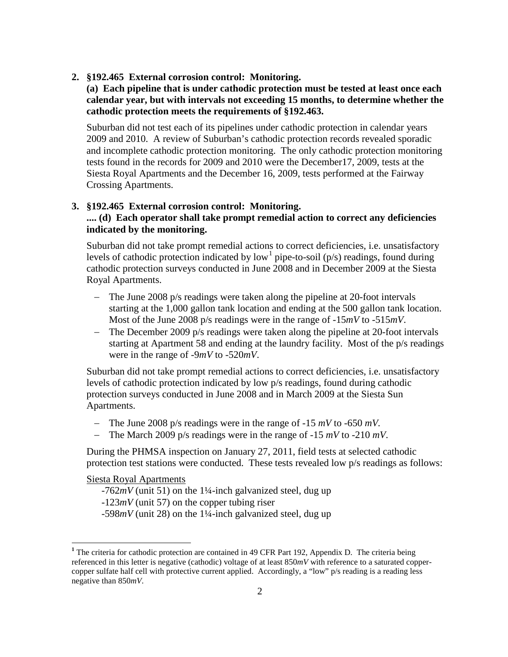**2. §192.465 External corrosion control: Monitoring.**

# **(a) Each pipeline that is under cathodic protection must be tested at least once each calendar year, but with intervals not exceeding 15 months, to determine whether the cathodic protection meets the requirements of §192.463.**

Suburban did not test each of its pipelines under cathodic protection in calendar years 2009 and 2010. A review of Suburban's cathodic protection records revealed sporadic and incomplete cathodic protection monitoring. The only cathodic protection monitoring tests found in the records for 2009 and 2010 were the December17, 2009, tests at the Siesta Royal Apartments and the December 16, 2009, tests performed at the Fairway Crossing Apartments.

# **3. §192.465 External corrosion control: Monitoring. .... (d) Each operator shall take prompt remedial action to correct any deficiencies indicated by the monitoring.**

Suburban did not take prompt remedial actions to correct deficiencies, i.e. unsatisfactory levels of cathodic protection indicated by low<sup>[1](#page-1-0)</sup> pipe-to-soil (p/s) readings, found during cathodic protection surveys conducted in June 2008 and in December 2009 at the Siesta Royal Apartments.

- − The June 2008 p/s readings were taken along the pipeline at 20-foot intervals starting at the 1,000 gallon tank location and ending at the 500 gallon tank location. Most of the June 2008 p/s readings were in the range of -15*mV* to -515*mV*.
- The December 2009 p/s readings were taken along the pipeline at 20-foot intervals starting at Apartment 58 and ending at the laundry facility. Most of the p/s readings were in the range of -9*mV* to -520*mV*.

Suburban did not take prompt remedial actions to correct deficiencies, i.e. unsatisfactory levels of cathodic protection indicated by low p/s readings, found during cathodic protection surveys conducted in June 2008 and in March 2009 at the Siesta Sun Apartments.

- The June 2008 p/s readings were in the range of -15 *mV* to -650 *mV*.
- − The March 2009 p/s readings were in the range of -15 *mV* to -210 *mV*.

During the PHMSA inspection on January 27, 2011, field tests at selected cathodic protection test stations were conducted. These tests revealed low p/s readings as follows:

### Siesta Royal Apartments

- $-762mV$  (unit 51) on the 1<sup>1</sup>/4-inch galvanized steel, dug up
- -123*mV* (unit 57) on the copper tubing riser
- $-598mV$  (unit 28) on the 1<sup>1</sup>/4-inch galvanized steel, dug up

<span id="page-1-0"></span><sup>&</sup>lt;sup>1</sup> The criteria for cathodic protection are contained in 49 CFR Part 192, Appendix D. The criteria being referenced in this letter is negative (cathodic) voltage of at least 850*mV* with reference to a saturated coppercopper sulfate half cell with protective current applied. Accordingly, a "low" p/s reading is a reading less negative than 850*mV*.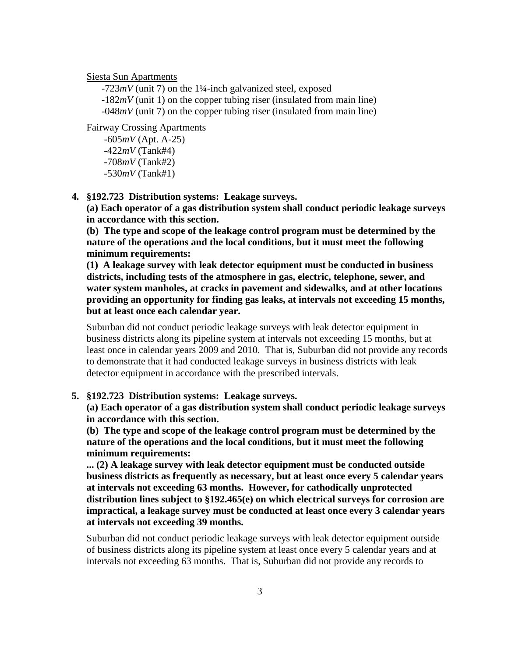Siesta Sun Apartments

-723*mV* (unit 7) on the 1¼-inch galvanized steel, exposed -182*mV* (unit 1) on the copper tubing riser (insulated from main line) -048*mV* (unit 7) on the copper tubing riser (insulated from main line)

Fairway Crossing Apartments

-605*mV* (Apt. A-25) -422*mV* (Tank#4) -708*mV* (Tank#2) -530*mV* (Tank#1)

**4. §192.723 Distribution systems: Leakage surveys.**

**(a) Each operator of a gas distribution system shall conduct periodic leakage surveys in accordance with this section.**

**(b) The type and scope of the leakage control program must be determined by the nature of the operations and the local conditions, but it must meet the following minimum requirements:**

**(1) A leakage survey with leak detector equipment must be conducted in business districts, including tests of the atmosphere in gas, electric, telephone, sewer, and water system manholes, at cracks in pavement and sidewalks, and at other locations providing an opportunity for finding gas leaks, at intervals not exceeding 15 months, but at least once each calendar year.**

Suburban did not conduct periodic leakage surveys with leak detector equipment in business districts along its pipeline system at intervals not exceeding 15 months, but at least once in calendar years 2009 and 2010. That is, Suburban did not provide any records to demonstrate that it had conducted leakage surveys in business districts with leak detector equipment in accordance with the prescribed intervals.

#### **5. §192.723 Distribution systems: Leakage surveys.**

**(a) Each operator of a gas distribution system shall conduct periodic leakage surveys in accordance with this section.**

**(b) The type and scope of the leakage control program must be determined by the nature of the operations and the local conditions, but it must meet the following minimum requirements:**

**... (2) A leakage survey with leak detector equipment must be conducted outside business districts as frequently as necessary, but at least once every 5 calendar years at intervals not exceeding 63 months. However, for cathodically unprotected distribution lines subject to §192.465(e) on which electrical surveys for corrosion are impractical, a leakage survey must be conducted at least once every 3 calendar years at intervals not exceeding 39 months.**

Suburban did not conduct periodic leakage surveys with leak detector equipment outside of business districts along its pipeline system at least once every 5 calendar years and at intervals not exceeding 63 months. That is, Suburban did not provide any records to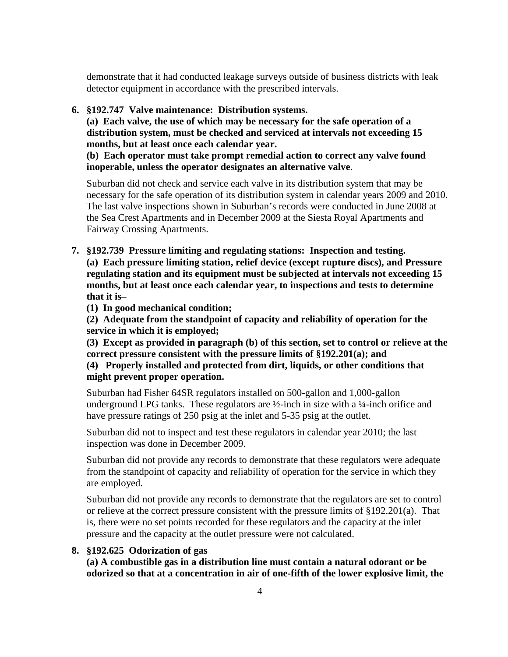demonstrate that it had conducted leakage surveys outside of business districts with leak detector equipment in accordance with the prescribed intervals.

#### **6. §192.747 Valve maintenance: Distribution systems.**

**(a) Each valve, the use of which may be necessary for the safe operation of a distribution system, must be checked and serviced at intervals not exceeding 15 months, but at least once each calendar year.**

**(b) Each operator must take prompt remedial action to correct any valve found inoperable, unless the operator designates an alternative valve**.

Suburban did not check and service each valve in its distribution system that may be necessary for the safe operation of its distribution system in calendar years 2009 and 2010. The last valve inspections shown in Suburban's records were conducted in June 2008 at the Sea Crest Apartments and in December 2009 at the Siesta Royal Apartments and Fairway Crossing Apartments.

- **7. §192.739 Pressure limiting and regulating stations: Inspection and testing. (a) Each pressure limiting station, relief device (except rupture discs), and Pressure regulating station and its equipment must be subjected at intervals not exceeding 15 months, but at least once each calendar year, to inspections and tests to determine that it is–**
	- **(1) In good mechanical condition;**

**(2) Adequate from the standpoint of capacity and reliability of operation for the service in which it is employed;**

**(3) Except as provided in paragraph (b) of this section, set to control or relieve at the correct pressure consistent with the pressure limits of §192.201(a); and**

# **(4) Properly installed and protected from dirt, liquids, or other conditions that might prevent proper operation.**

Suburban had Fisher 64SR regulators installed on 500-gallon and 1,000-gallon underground LPG tanks. These regulators are  $\frac{1}{2}$ -inch in size with a  $\frac{1}{4}$ -inch orifice and have pressure ratings of 250 psig at the inlet and 5-35 psig at the outlet.

Suburban did not to inspect and test these regulators in calendar year 2010; the last inspection was done in December 2009.

Suburban did not provide any records to demonstrate that these regulators were adequate from the standpoint of capacity and reliability of operation for the service in which they are employed.

Suburban did not provide any records to demonstrate that the regulators are set to control or relieve at the correct pressure consistent with the pressure limits of §192.201(a). That is, there were no set points recorded for these regulators and the capacity at the inlet pressure and the capacity at the outlet pressure were not calculated.

#### **8. §192.625 Odorization of gas**

**(a) A combustible gas in a distribution line must contain a natural odorant or be odorized so that at a concentration in air of one-fifth of the lower explosive limit, the**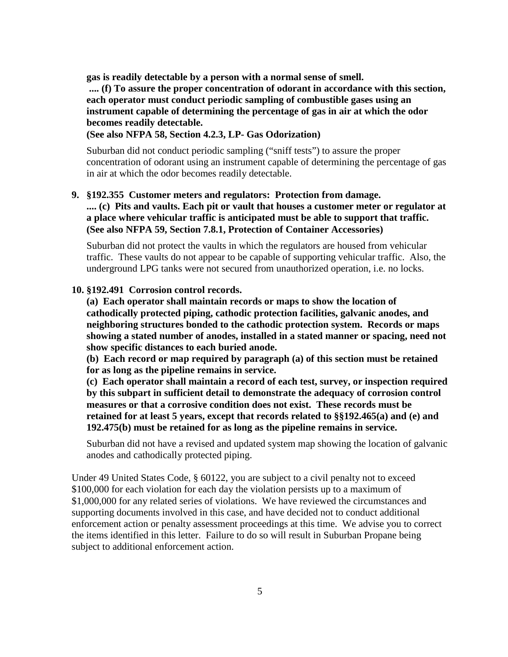**gas is readily detectable by a person with a normal sense of smell.**

**.... (f) To assure the proper concentration of odorant in accordance with this section, each operator must conduct periodic sampling of combustible gases using an instrument capable of determining the percentage of gas in air at which the odor becomes readily detectable.** 

### **(See also NFPA 58, Section 4.2.3, LP- Gas Odorization)**

Suburban did not conduct periodic sampling ("sniff tests") to assure the proper concentration of odorant using an instrument capable of determining the percentage of gas in air at which the odor becomes readily detectable.

#### **9. §192.355 Customer meters and regulators: Protection from damage.**

**.... (c) Pits and vaults. Each pit or vault that houses a customer meter or regulator at a place where vehicular traffic is anticipated must be able to support that traffic. (See also NFPA 59, Section 7.8.1, Protection of Container Accessories)**

Suburban did not protect the vaults in which the regulators are housed from vehicular traffic. These vaults do not appear to be capable of supporting vehicular traffic. Also, the underground LPG tanks were not secured from unauthorized operation, i.e. no locks.

#### **10. §192.491 Corrosion control records.**

**(a) Each operator shall maintain records or maps to show the location of cathodically protected piping, cathodic protection facilities, galvanic anodes, and neighboring structures bonded to the cathodic protection system. Records or maps showing a stated number of anodes, installed in a stated manner or spacing, need not show specific distances to each buried anode.**

**(b) Each record or map required by paragraph (a) of this section must be retained for as long as the pipeline remains in service.**

**(c) Each operator shall maintain a record of each test, survey, or inspection required by this subpart in sufficient detail to demonstrate the adequacy of corrosion control measures or that a corrosive condition does not exist. These records must be retained for at least 5 years, except that records related to §§192.465(a) and (e) and 192.475(b) must be retained for as long as the pipeline remains in service.**

Suburban did not have a revised and updated system map showing the location of galvanic anodes and cathodically protected piping.

Under 49 United States Code, § 60122, you are subject to a civil penalty not to exceed \$100,000 for each violation for each day the violation persists up to a maximum of \$1,000,000 for any related series of violations. We have reviewed the circumstances and supporting documents involved in this case, and have decided not to conduct additional enforcement action or penalty assessment proceedings at this time. We advise you to correct the items identified in this letter. Failure to do so will result in Suburban Propane being subject to additional enforcement action.